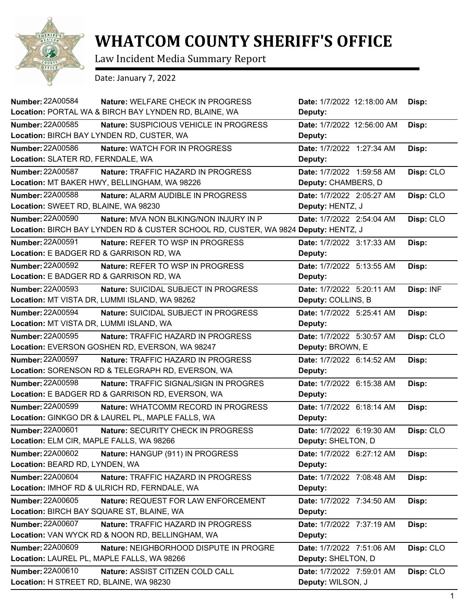

## **WHATCOM COUNTY SHERIFF'S OFFICE**

Law Incident Media Summary Report

Date: January 7, 2022

| <b>Number: 22A00584</b><br>Nature: WELFARE CHECK IN PROGRESS                       | Date: 1/7/2022 12:18:00 AM | Disp:     |
|------------------------------------------------------------------------------------|----------------------------|-----------|
| Location: PORTAL WA & BIRCH BAY LYNDEN RD, BLAINE, WA                              | Deputy:                    |           |
| <b>Number: 22A00585</b><br>Nature: SUSPICIOUS VEHICLE IN PROGRESS                  | Date: 1/7/2022 12:56:00 AM | Disp:     |
| Location: BIRCH BAY LYNDEN RD, CUSTER, WA                                          | Deputy:                    |           |
| Number: 22A00586<br>Nature: WATCH FOR IN PROGRESS                                  | Date: 1/7/2022 1:27:34 AM  | Disp:     |
| Location: SLATER RD, FERNDALE, WA                                                  | Deputy:                    |           |
| <b>Number: 22A00587</b><br>Nature: TRAFFIC HAZARD IN PROGRESS                      | Date: 1/7/2022 1:59:58 AM  | Disp: CLO |
| Location: MT BAKER HWY, BELLINGHAM, WA 98226                                       | Deputy: CHAMBERS, D        |           |
| <b>Number: 22A00588</b><br>Nature: ALARM AUDIBLE IN PROGRESS                       | Date: 1/7/2022 2:05:27 AM  | Disp: CLO |
| Location: SWEET RD, BLAINE, WA 98230                                               | Deputy: HENTZ, J           |           |
| <b>Number: 22A00590</b><br>Nature: MVA NON BLKING/NON INJURY IN P                  | Date: 1/7/2022 2:54:04 AM  | Disp: CLO |
| Location: BIRCH BAY LYNDEN RD & CUSTER SCHOOL RD, CUSTER, WA 9824 Deputy: HENTZ, J |                            |           |
| <b>Number: 22A00591</b><br>Nature: REFER TO WSP IN PROGRESS                        | Date: 1/7/2022 3:17:33 AM  | Disp:     |
| Location: E BADGER RD & GARRISON RD, WA                                            | Deputy:                    |           |
| <b>Number: 22A00592</b><br>Nature: REFER TO WSP IN PROGRESS                        | Date: 1/7/2022 5:13:55 AM  | Disp:     |
| Location: E BADGER RD & GARRISON RD, WA                                            | Deputy:                    |           |
| <b>Number: 22A00593</b><br>Nature: SUICIDAL SUBJECT IN PROGRESS                    | Date: 1/7/2022 5:20:11 AM  | Disp: INF |
| Location: MT VISTA DR, LUMMI ISLAND, WA 98262                                      | Deputy: COLLINS, B         |           |
| <b>Number: 22A00594</b><br>Nature: SUICIDAL SUBJECT IN PROGRESS                    | Date: 1/7/2022 5:25:41 AM  | Disp:     |
| Location: MT VISTA DR, LUMMI ISLAND, WA                                            | Deputy:                    |           |
| <b>Number: 22A00595</b><br><b>Nature: TRAFFIC HAZARD IN PROGRESS</b>               | Date: 1/7/2022 5:30:57 AM  | Disp: CLO |
| Location: EVERSON GOSHEN RD, EVERSON, WA 98247                                     | Deputy: BROWN, E           |           |
|                                                                                    |                            |           |
| <b>Number: 22A00597</b><br>Nature: TRAFFIC HAZARD IN PROGRESS                      | Date: 1/7/2022 6:14:52 AM  | Disp:     |
| Location: SORENSON RD & TELEGRAPH RD, EVERSON, WA                                  | Deputy:                    |           |
| <b>Number: 22A00598</b><br>Nature: TRAFFIC SIGNAL/SIGN IN PROGRES                  | Date: 1/7/2022 6:15:38 AM  | Disp:     |
| Location: E BADGER RD & GARRISON RD, EVERSON, WA                                   | Deputy:                    |           |
| <b>Number: 22A00599</b><br>Nature: WHATCOMM RECORD IN PROGRESS                     | Date: 1/7/2022 6:18:14 AM  | Disp:     |
| Location: GINKGO DR & LAUREL PL, MAPLE FALLS, WA                                   | Deputy:                    |           |
| <b>Number: 22A00601</b><br>Nature: SECURITY CHECK IN PROGRESS                      | Date: 1/7/2022 6:19:30 AM  | Disp: CLO |
| Location: ELM CIR, MAPLE FALLS, WA 98266                                           | Deputy: SHELTON, D         |           |
| <b>Number: 22A00602</b><br>Nature: HANGUP (911) IN PROGRESS                        | Date: 1/7/2022 6:27:12 AM  | Disp:     |
| Location: BEARD RD, LYNDEN, WA                                                     | Deputy:                    |           |
| Number: 22A00604<br>Nature: TRAFFIC HAZARD IN PROGRESS                             | Date: 1/7/2022 7:08:48 AM  | Disp:     |
| Location: IMHOF RD & ULRICH RD, FERNDALE, WA                                       | Deputy:                    |           |
| <b>Number: 22A00605</b><br>Nature: REQUEST FOR LAW ENFORCEMENT                     | Date: 1/7/2022 7:34:50 AM  | Disp:     |
| Location: BIRCH BAY SQUARE ST, BLAINE, WA                                          | Deputy:                    |           |
| Number: 22A00607<br>Nature: TRAFFIC HAZARD IN PROGRESS                             | Date: 1/7/2022 7:37:19 AM  | Disp:     |
| Location: VAN WYCK RD & NOON RD, BELLINGHAM, WA                                    | Deputy:                    |           |
| <b>Number: 22A00609</b><br>Nature: NEIGHBORHOOD DISPUTE IN PROGRE                  | Date: 1/7/2022 7:51:06 AM  | Disp: CLO |
| Location: LAUREL PL, MAPLE FALLS, WA 98266                                         | Deputy: SHELTON, D         |           |
| Number: 22A00610<br>Nature: ASSIST CITIZEN COLD CALL                               | Date: 1/7/2022 7:59:01 AM  | Disp: CLO |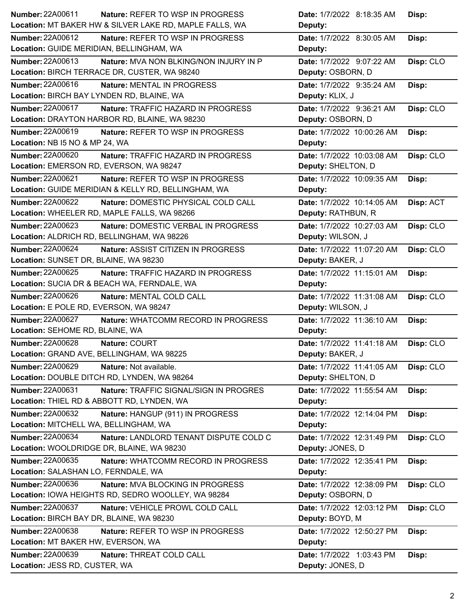| Number: 22A00611                           | <b>Nature: REFER TO WSP IN PROGRESS</b>                 | Date: 1/7/2022 8:18:35 AM  | Disp:     |
|--------------------------------------------|---------------------------------------------------------|----------------------------|-----------|
|                                            | Location: MT BAKER HW & SILVER LAKE RD, MAPLE FALLS, WA | Deputy:                    |           |
| <b>Number: 22A00612</b>                    | Nature: REFER TO WSP IN PROGRESS                        | Date: 1/7/2022 8:30:05 AM  | Disp:     |
| Location: GUIDE MERIDIAN, BELLINGHAM, WA   |                                                         | Deputy:                    |           |
| Number: 22A00613                           | <b>Nature: MVA NON BLKING/NON INJURY IN P</b>           | Date: 1/7/2022 9:07:22 AM  | Disp: CLO |
|                                            | Location: BIRCH TERRACE DR, CUSTER, WA 98240            | Deputy: OSBORN, D          |           |
| Number: 22A00616                           | Nature: MENTAL IN PROGRESS                              | Date: 1/7/2022 9:35:24 AM  | Disp:     |
| Location: BIRCH BAY LYNDEN RD, BLAINE, WA  |                                                         | Deputy: KLIX, J            |           |
| Number: 22A00617                           | Nature: TRAFFIC HAZARD IN PROGRESS                      | Date: 1/7/2022 9:36:21 AM  | Disp: CLO |
|                                            | Location: DRAYTON HARBOR RD, BLAINE, WA 98230           | Deputy: OSBORN, D          |           |
| Number: 22A00619                           | Nature: REFER TO WSP IN PROGRESS                        | Date: 1/7/2022 10:00:26 AM | Disp:     |
| Location: NB I5 NO & MP 24, WA             |                                                         | Deputy:                    |           |
| <b>Number: 22A00620</b>                    | Nature: TRAFFIC HAZARD IN PROGRESS                      | Date: 1/7/2022 10:03:08 AM | Disp: CLO |
| Location: EMERSON RD, EVERSON, WA 98247    |                                                         | Deputy: SHELTON, D         |           |
| Number: 22A00621                           | Nature: REFER TO WSP IN PROGRESS                        | Date: 1/7/2022 10:09:35 AM | Disp:     |
|                                            | Location: GUIDE MERIDIAN & KELLY RD, BELLINGHAM, WA     | Deputy:                    |           |
| <b>Number: 22A00622</b>                    | Nature: DOMESTIC PHYSICAL COLD CALL                     | Date: 1/7/2022 10:14:05 AM | Disp: ACT |
|                                            | Location: WHEELER RD, MAPLE FALLS, WA 98266             | Deputy: RATHBUN, R         |           |
| <b>Number: 22A00623</b>                    | Nature: DOMESTIC VERBAL IN PROGRESS                     | Date: 1/7/2022 10:27:03 AM | Disp: CLO |
| Location: ALDRICH RD, BELLINGHAM, WA 98226 |                                                         | Deputy: WILSON, J          |           |
| <b>Number: 22A00624</b>                    | Nature: ASSIST CITIZEN IN PROGRESS                      | Date: 1/7/2022 11:07:20 AM | Disp: CLO |
| Location: SUNSET DR, BLAINE, WA 98230      |                                                         | Deputy: BAKER, J           |           |
| Number: 22A00625                           | Nature: TRAFFIC HAZARD IN PROGRESS                      | Date: 1/7/2022 11:15:01 AM | Disp:     |
|                                            | Location: SUCIA DR & BEACH WA, FERNDALE, WA             | Deputy:                    |           |
|                                            |                                                         |                            |           |
| <b>Number: 22A00626</b>                    | Nature: MENTAL COLD CALL                                | Date: 1/7/2022 11:31:08 AM | Disp: CLO |
| Location: E POLE RD, EVERSON, WA 98247     |                                                         | Deputy: WILSON, J          |           |
| <b>Number: 22A00627</b>                    | Nature: WHATCOMM RECORD IN PROGRESS                     | Date: 1/7/2022 11:36:10 AM | Disp:     |
| Location: SEHOME RD, BLAINE, WA            |                                                         | Deputy:                    |           |
| Number: 22A00628                           | Nature: COURT                                           | Date: 1/7/2022 11:41:18 AM | Disp: CLO |
| Location: GRAND AVE, BELLINGHAM, WA 98225  |                                                         | Deputy: BAKER, J           |           |
| <b>Number: 22A00629</b>                    | Nature: Not available.                                  | Date: 1/7/2022 11:41:05 AM | Disp: CLO |
|                                            | Location: DOUBLE DITCH RD, LYNDEN, WA 98264             | Deputy: SHELTON, D         |           |
| Number: 22A00631                           | Nature: TRAFFIC SIGNAL/SIGN IN PROGRES                  | Date: 1/7/2022 11:55:54 AM | Disp:     |
| Location: THIEL RD & ABBOTT RD, LYNDEN, WA |                                                         | Deputy:                    |           |
| <b>Number: 22A00632</b>                    | Nature: HANGUP (911) IN PROGRESS                        | Date: 1/7/2022 12:14:04 PM | Disp:     |
| Location: MITCHELL WA, BELLINGHAM, WA      |                                                         | Deputy:                    |           |
| Number: 22A00634                           | Nature: LANDLORD TENANT DISPUTE COLD C                  | Date: 1/7/2022 12:31:49 PM | Disp: CLO |
| Location: WOOLDRIDGE DR, BLAINE, WA 98230  |                                                         | Deputy: JONES, D           |           |
| Number: 22A00635                           | Nature: WHATCOMM RECORD IN PROGRESS                     | Date: 1/7/2022 12:35:41 PM | Disp:     |
| Location: SALASHAN LO, FERNDALE, WA        |                                                         | Deputy:                    |           |
| Number: 22A00636                           | Nature: MVA BLOCKING IN PROGRESS                        | Date: 1/7/2022 12:38:09 PM | Disp: CLO |
|                                            | Location: IOWA HEIGHTS RD, SEDRO WOOLLEY, WA 98284      | Deputy: OSBORN, D          |           |
| Number: 22A00637                           | Nature: VEHICLE PROWL COLD CALL                         | Date: 1/7/2022 12:03:12 PM | Disp: CLO |
| Location: BIRCH BAY DR, BLAINE, WA 98230   |                                                         | Deputy: BOYD, M            |           |
| <b>Number: 22A00638</b>                    | <b>Nature: REFER TO WSP IN PROGRESS</b>                 | Date: 1/7/2022 12:50:27 PM | Disp:     |
| Location: MT BAKER HW, EVERSON, WA         |                                                         | Deputy:                    |           |
| <b>Number: 22A00639</b>                    | Nature: THREAT COLD CALL                                | Date: 1/7/2022 1:03:43 PM  | Disp:     |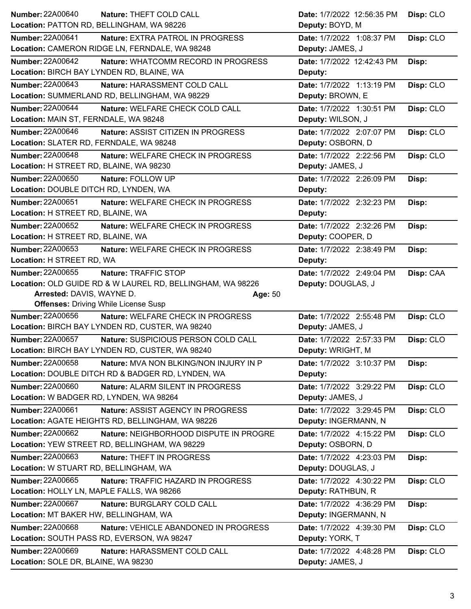| <b>Number: 22A00640</b>                   | Nature: THEFT COLD CALL                                    | Date: 1/7/2022 12:56:35 PM | Disp: CLO |
|-------------------------------------------|------------------------------------------------------------|----------------------------|-----------|
| Location: PATTON RD, BELLINGHAM, WA 98226 |                                                            | Deputy: BOYD, M            |           |
| <b>Number: 22A00641</b>                   | Nature: EXTRA PATROL IN PROGRESS                           | Date: 1/7/2022 1:08:37 PM  | Disp: CLO |
|                                           | Location: CAMERON RIDGE LN, FERNDALE, WA 98248             | Deputy: JAMES, J           |           |
| <b>Number: 22A00642</b>                   | Nature: WHATCOMM RECORD IN PROGRESS                        | Date: 1/7/2022 12:42:43 PM | Disp:     |
| Location: BIRCH BAY LYNDEN RD, BLAINE, WA |                                                            | Deputy:                    |           |
| <b>Number: 22A00643</b>                   | Nature: HARASSMENT COLD CALL                               | Date: 1/7/2022 1:13:19 PM  | Disp: CLO |
|                                           | Location: SUMMERLAND RD, BELLINGHAM, WA 98229              | Deputy: BROWN, E           |           |
| <b>Number: 22A00644</b>                   | Nature: WELFARE CHECK COLD CALL                            | Date: 1/7/2022 1:30:51 PM  | Disp: CLO |
| Location: MAIN ST, FERNDALE, WA 98248     |                                                            | Deputy: WILSON, J          |           |
| <b>Number: 22A00646</b>                   | Nature: ASSIST CITIZEN IN PROGRESS                         | Date: 1/7/2022 2:07:07 PM  | Disp: CLO |
| Location: SLATER RD, FERNDALE, WA 98248   |                                                            | Deputy: OSBORN, D          |           |
| <b>Number: 22A00648</b>                   | Nature: WELFARE CHECK IN PROGRESS                          | Date: 1/7/2022 2:22:56 PM  | Disp: CLO |
| Location: H STREET RD, BLAINE, WA 98230   |                                                            | Deputy: JAMES, J           |           |
| Number: 22A00650                          | Nature: FOLLOW UP                                          | Date: 1/7/2022 2:26:09 PM  | Disp:     |
| Location: DOUBLE DITCH RD, LYNDEN, WA     |                                                            | Deputy:                    |           |
| Number: 22A00651                          | Nature: WELFARE CHECK IN PROGRESS                          | Date: 1/7/2022 2:32:23 PM  | Disp:     |
| Location: H STREET RD, BLAINE, WA         |                                                            | Deputy:                    |           |
| Number: 22A00652                          | Nature: WELFARE CHECK IN PROGRESS                          | Date: 1/7/2022 2:32:26 PM  | Disp:     |
| Location: H STREET RD, BLAINE, WA         |                                                            | Deputy: COOPER, D          |           |
| <b>Number: 22A00653</b>                   | Nature: WELFARE CHECK IN PROGRESS                          | Date: 1/7/2022 2:38:49 PM  | Disp:     |
| Location: H STREET RD, WA                 |                                                            | Deputy:                    |           |
| Number: 22A00655                          | Nature: TRAFFIC STOP                                       | Date: 1/7/2022 2:49:04 PM  | Disp: CAA |
|                                           | Location: OLD GUIDE RD & W LAUREL RD, BELLINGHAM, WA 98226 | Deputy: DOUGLAS, J         |           |
| Arrested: DAVIS, WAYNE D.                 | Age: 50                                                    |                            |           |
|                                           |                                                            |                            |           |
|                                           | <b>Offenses: Driving While License Susp</b>                |                            |           |
| Number: 22A00656                          | Nature: WELFARE CHECK IN PROGRESS                          | Date: 1/7/2022 2:55:48 PM  | Disp: CLO |
|                                           | Location: BIRCH BAY LYNDEN RD, CUSTER, WA 98240            | Deputy: JAMES, J           |           |
| <b>Number: 22A00657</b>                   | Nature: SUSPICIOUS PERSON COLD CALL                        | Date: 1/7/2022 2:57:33 PM  | Disp: CLO |
|                                           | Location: BIRCH BAY LYNDEN RD, CUSTER, WA 98240            | Deputy: WRIGHT, M          |           |
| Number: 22A00658                          | Nature: MVA NON BLKING/NON INJURY IN P                     | Date: 1/7/2022 3:10:37 PM  | Disp:     |
|                                           | Location: DOUBLE DITCH RD & BADGER RD, LYNDEN, WA          | Deputy:                    |           |
| Number: 22A00660                          | Nature: ALARM SILENT IN PROGRESS                           | Date: 1/7/2022 3:29:22 PM  | Disp: CLO |
| Location: W BADGER RD, LYNDEN, WA 98264   |                                                            | Deputy: JAMES, J           |           |
| Number: 22A00661                          | Nature: ASSIST AGENCY IN PROGRESS                          | Date: 1/7/2022 3:29:45 PM  | Disp: CLO |
|                                           | Location: AGATE HEIGHTS RD, BELLINGHAM, WA 98226           | Deputy: INGERMANN, N       |           |
| <b>Number: 22A00662</b>                   | Nature: NEIGHBORHOOD DISPUTE IN PROGRE                     | Date: 1/7/2022 4:15:22 PM  | Disp: CLO |
|                                           | Location: YEW STREET RD, BELLINGHAM, WA 98229              | Deputy: OSBORN, D          |           |
| Number: 22A00663                          | Nature: THEFT IN PROGRESS                                  | Date: 1/7/2022 4:23:03 PM  | Disp:     |
| Location: W STUART RD, BELLINGHAM, WA     |                                                            | Deputy: DOUGLAS, J         |           |
| <b>Number: 22A00665</b>                   | Nature: TRAFFIC HAZARD IN PROGRESS                         | Date: 1/7/2022 4:30:22 PM  | Disp: CLO |
| Location: HOLLY LN, MAPLE FALLS, WA 98266 |                                                            | Deputy: RATHBUN, R         |           |
| Number: 22A00667                          | Nature: BURGLARY COLD CALL                                 | Date: 1/7/2022 4:36:29 PM  | Disp:     |
| Location: MT BAKER HW, BELLINGHAM, WA     |                                                            | Deputy: INGERMANN, N       |           |
| Number: 22A00668                          | Nature: VEHICLE ABANDONED IN PROGRESS                      | Date: 1/7/2022 4:39:30 PM  | Disp: CLO |
|                                           | Location: SOUTH PASS RD, EVERSON, WA 98247                 | Deputy: YORK, T            |           |
| <b>Number: 22A00669</b>                   | Nature: HARASSMENT COLD CALL                               | Date: 1/7/2022 4:48:28 PM  | Disp: CLO |